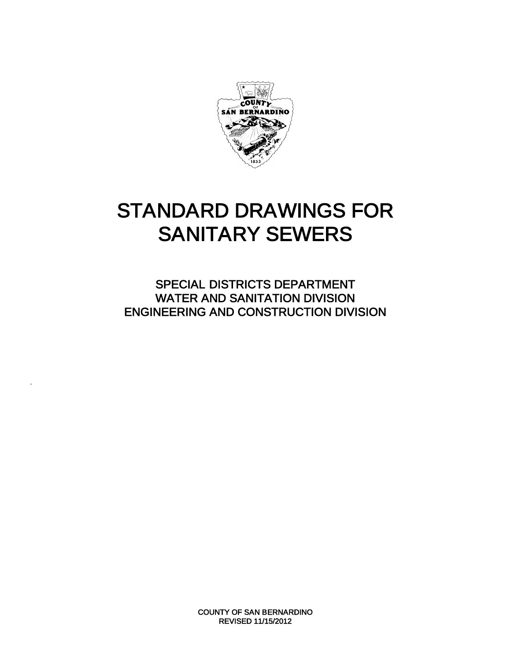

# STANDARD DRAWINGS FOR SANITARY SEWERS

SPECIAL DISTRICTS DEPARTMENT WATER AND SANITATION DIVISION ENGINEERING AND CONSTRUCTION DIVISION

.

COUNTY OF SAN BERNARDINO REVISED 11/15/2012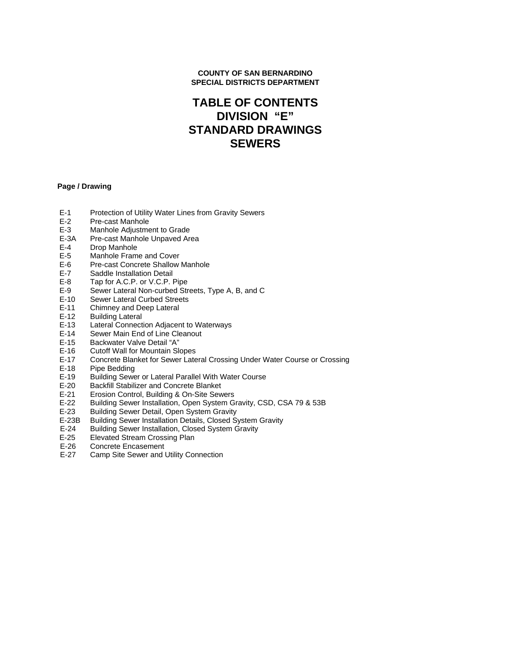#### **COUNTY OF SAN BERNARDINO SPECIAL DISTRICTS DEPARTMENT**

## **TABLE OF CONTENTS DIVISION "E" STANDARD DRAWINGS SEWERS**

#### **Page / Drawing**

- E-1 Protection of Utility Water Lines from Gravity Sewers<br>E-2 Pre-cast Manhole
- E-2 Pre-cast Manhole<br>E-3 Manhole Adiustme
- E-3 Manhole Adjustment to Grade<br>E-3A Pre-cast Manhole Unpaved Are
- E-3A Pre-cast Manhole Unpaved Area<br>E-4 Drop Manhole
- E-4 Drop Manhole<br>E-5 Manhole Fram
- Manhole Frame and Cover
- E-6 Pre-cast Concrete Shallow Manhole
- E-7 Saddle Installation Detail
- E-8 Tap for A.C.P. or V.C.P. Pipe
- E-9 Sewer Lateral Non-curbed Streets, Type A, B, and C
- E-10 Sewer Lateral Curbed Streets
- E-11 Chimney and Deep Lateral<br>E-12 Building Lateral
- E-12 Building Lateral<br>E-13 Lateral Connect
- E-13 Lateral Connection Adjacent to Waterways<br>E-14 Sewer Main End of Line Cleanout
- E-14 Sewer Main End of Line Cleanout<br>E-15 Backwater Valve Detail "A"
- E-15 Backwater Valve Detail "A"<br>E-16 Cutoff Wall for Mountain SI
- E-16 Cutoff Wall for Mountain Slopes<br>E-17 Concrete Blanket for Sewer Late
- E-17 Concrete Blanket for Sewer Lateral Crossing Under Water Course or Crossing<br>E-18 Pipe Bedding
- Pipe Bedding
- E-19 Building Sewer or Lateral Parallel With Water Course<br>E-20 Backfill Stabilizer and Concrete Blanket
- E-20 Backfill Stabilizer and Concrete Blanket<br>E-21 Erosion Control, Building & On-Site Sew
- E-21 Erosion Control, Building & On-Site Sewers
- E-22 Building Sewer Installation, Open System Gravity, CSD, CSA 79 & 53B
- Building Sewer Detail, Open System Gravity
- E-23B Building Sewer Installation Details, Closed System Gravity
- E-24 Building Sewer Installation, Closed System Gravity
- E-25 Elevated Stream Crossing Plan
- E-26 Concrete Encasement
- E-27 Camp Site Sewer and Utility Connection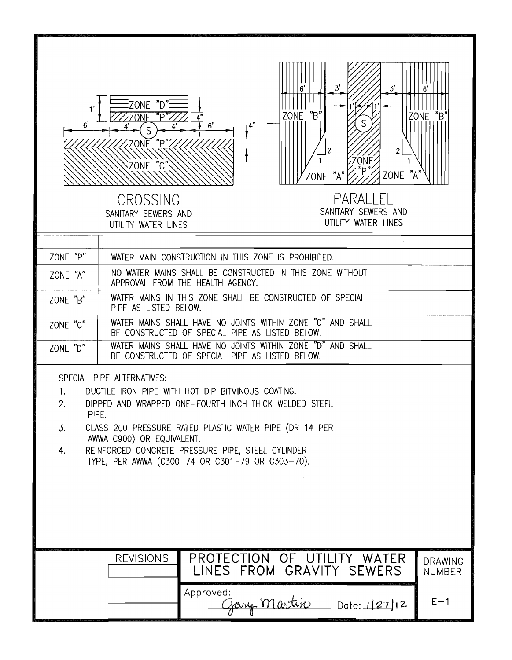| 1'<br>6'                      | 3'<br>3'<br>ZONE "D":<br>ZONE "B"<br>יק״<br><b>ONE</b><br>6'<br><u>'ONE</u><br>$\overline{c}$<br>2<br>ZÓŃE<br>ZONE "C"<br>ZONE "A"<br>ZONE<br>PARALI FL<br>CROSSING<br>SANITARY SEWERS AND<br>SANITARY SEWERS AND<br>UTILITY WATER LINES<br>UTILITY WATER LINES                                                                         | ZONE "B                         |  |  |  |
|-------------------------------|-----------------------------------------------------------------------------------------------------------------------------------------------------------------------------------------------------------------------------------------------------------------------------------------------------------------------------------------|---------------------------------|--|--|--|
| ZONE "P"                      | WATER MAIN CONSTRUCTION IN THIS ZONE IS PROHIBITED.                                                                                                                                                                                                                                                                                     |                                 |  |  |  |
| ZONE "A"                      | NO WATER MAINS SHALL BE CONSTRUCTED IN THIS ZONE WITHOUT<br>APPROVAL FROM THE HEALTH AGENCY.                                                                                                                                                                                                                                            |                                 |  |  |  |
| ZONE "B"                      | WATER MAINS IN THIS ZONE SHALL BE CONSTRUCTED OF SPECIAL<br>PIPE AS LISTED BELOW.                                                                                                                                                                                                                                                       |                                 |  |  |  |
| ZONE "C"                      | WATER MAINS SHALL HAVE NO JOINTS WITHIN ZONE "C" AND SHALL<br>BE CONSTRUCTED OF SPECIAL PIPE AS LISTED BELOW.                                                                                                                                                                                                                           |                                 |  |  |  |
| ZONE "D"                      | WATER MAINS SHALL HAVE NO JOINTS WITHIN ZONE "D" AND SHALL<br>BE CONSTRUCTED OF SPECIAL PIPE AS LISTED BELOW.                                                                                                                                                                                                                           |                                 |  |  |  |
| 1.<br>2.<br>PIPE.<br>3.<br>4. | SPECIAL PIPE ALTERNATIVES:<br>DUCTILE IRON PIPE WITH HOT DIP BITMINOUS COATING.<br>DIPPED AND WRAPPED ONE-FOURTH INCH THICK WELDED STEEL<br>CLASS 200 PRESSURE RATED PLASTIC WATER PIPE (DR 14 PER<br>AWWA C900) OR EQUIVALENT.<br>REINFORCED CONCRETE PRESSURE PIPE, STEEL CYLINDER<br>TYPE, PER AWWA (C300-74 OR C301-79 OR C303-70). |                                 |  |  |  |
|                               |                                                                                                                                                                                                                                                                                                                                         |                                 |  |  |  |
|                               | <b>REVISIONS</b><br>PROTECTION OF UTILITY WATER<br>LINES FROM GRAVITY SEWERS                                                                                                                                                                                                                                                            | <b>DRAWING</b><br><b>NUMBER</b> |  |  |  |
|                               | Approved:<br>Gary Martin Date: 127/12                                                                                                                                                                                                                                                                                                   | $E - 1$                         |  |  |  |

r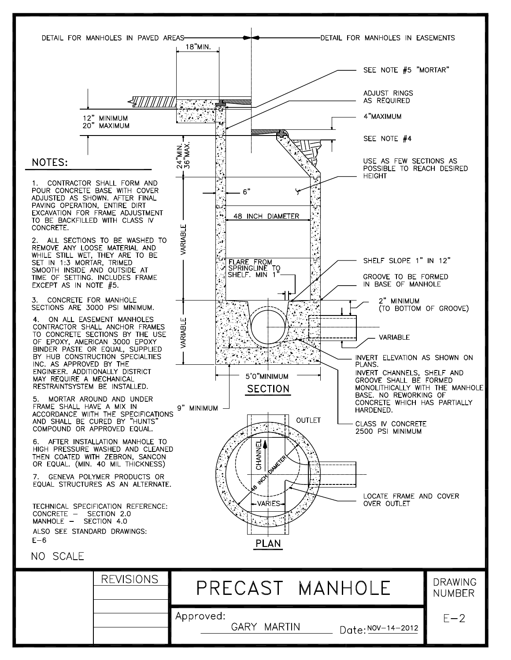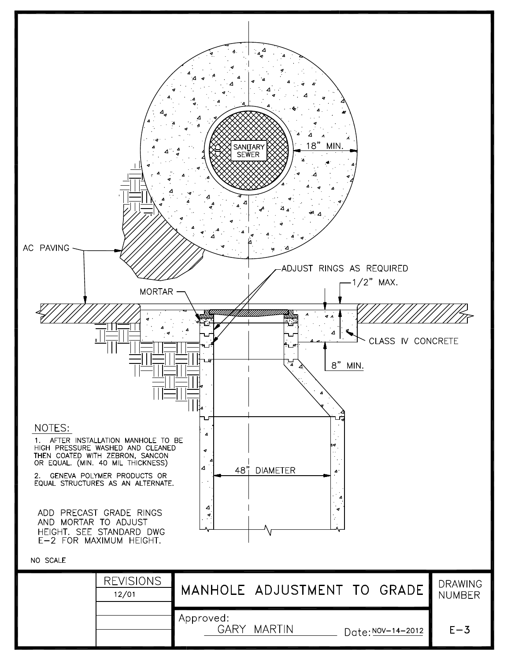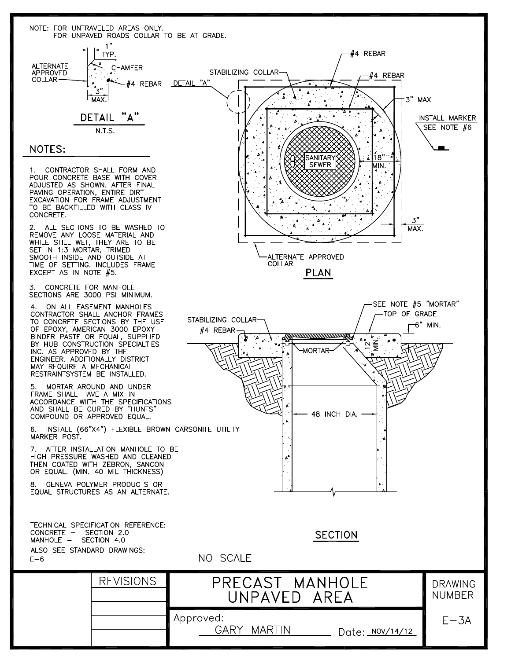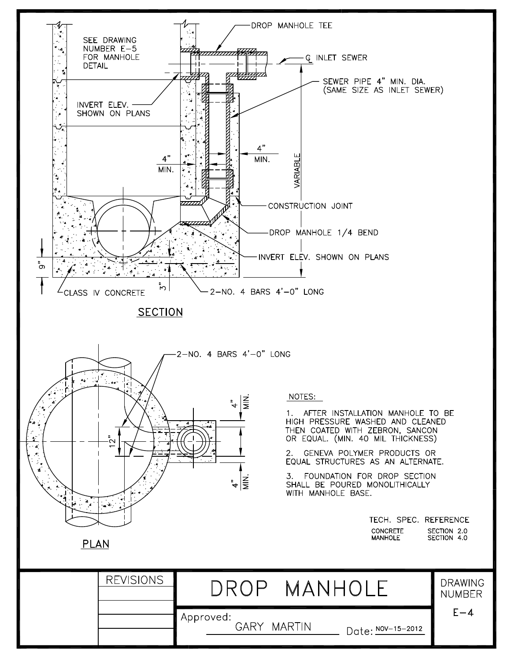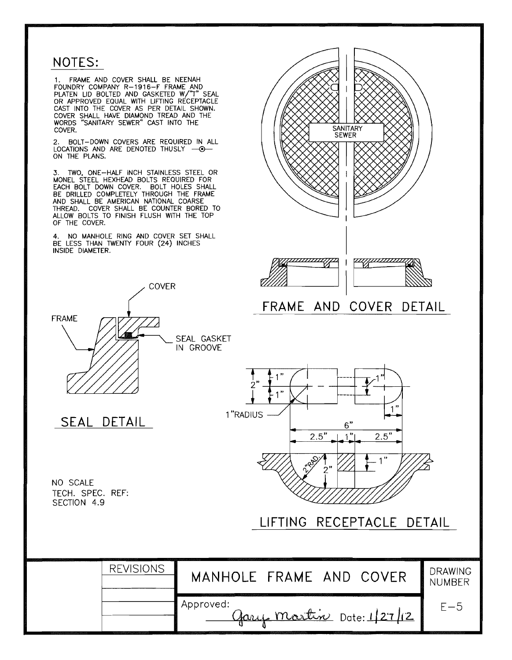## NOTES:

1. FRAME AND COVER SHALL BE NEENAH<br>FOUNDRY COMPANY R-1916-F FRAME AND<br>PLATEN LID BOLTED AND GASKETED W/"T" SEAL<br>OR APPROVED EQUAL WITH LIFTING RECEPTACLE<br>CAST INTO THE COVER AS PER DETAIL SHOWN.<br>COVER SHALL HAVE DIAMOND TR COVER.

2. BOLT-DOWN COVERS ARE REQUIRED IN ALL<br>LOCATIONS AND ARE DENOTED THUSLY --ON THE PLANS.

3. TWO, ONE-HALF INCH STAINLESS STEEL OR<br>MONEL STEEL HEXHEAD BOLTS REQUIRED FOR<br>EACH BOLT DOWN COVER. BOLT HOLES SHALL<br>BE DRILLED COMPLETELY THROUGH THE FRAME<br>AND SHALL BE AMERICAN NATIONAL COARSE<br>THREAD. COVER SHALL BE CO ALLOW BOLTS TO FINISH FLUSH WITH THE TOP OF THE COVER.

4. NO MANHOLE RING AND COVER SET SHALL<br>BE LESS THAN TWENTY FOUR (24) INCHES INSIDE DIAMETER.



**REVISIONS** 

Approved:

SEAL DETAIL

NO SCALE TECH. SPEC. REF: SECTION 4.9



gary martin Date: 1/27/12

 $E-5$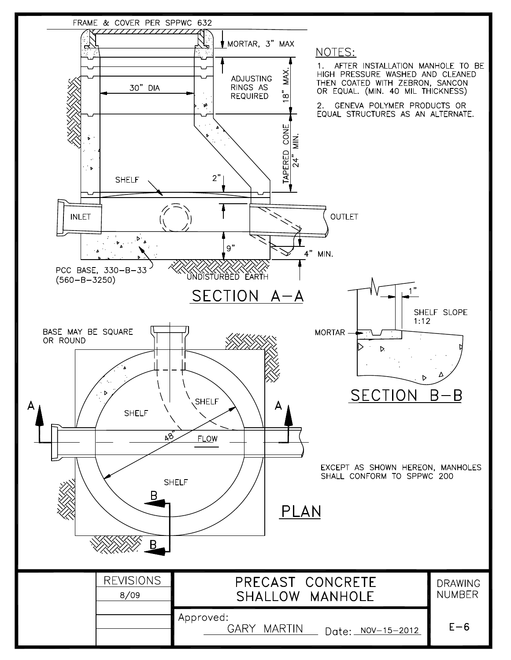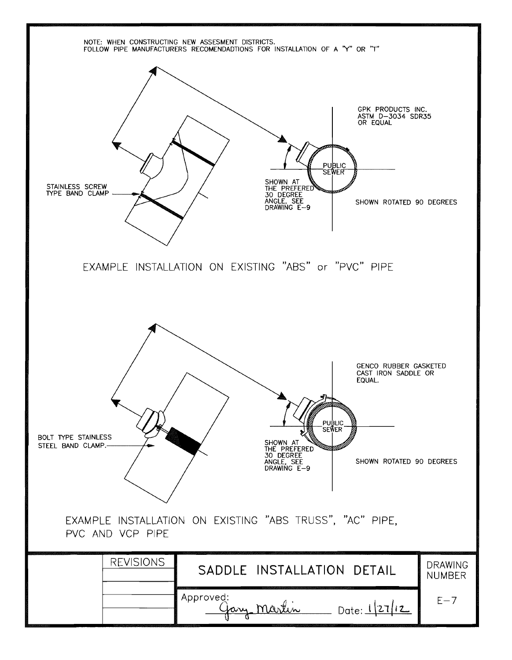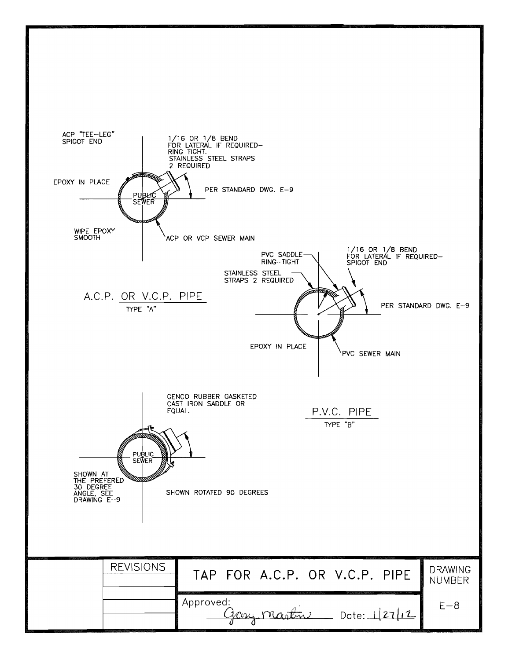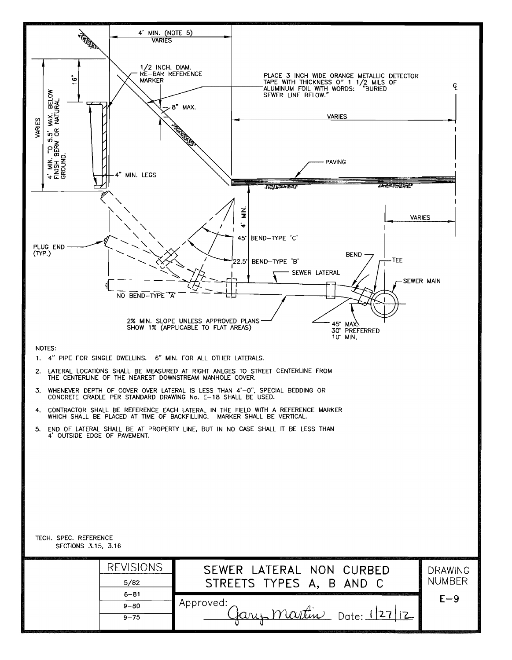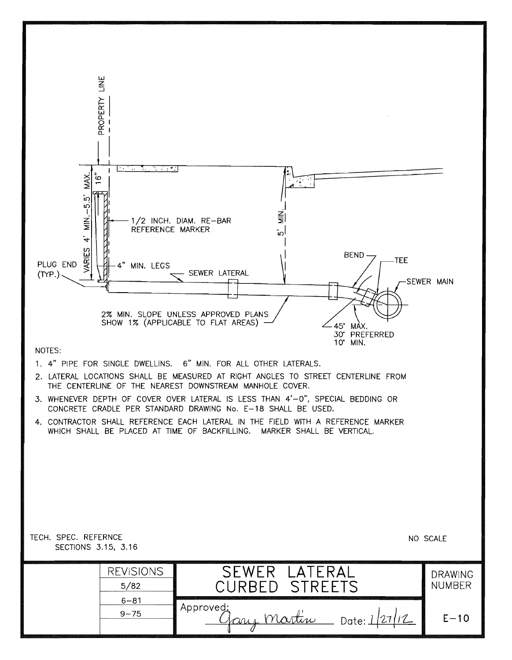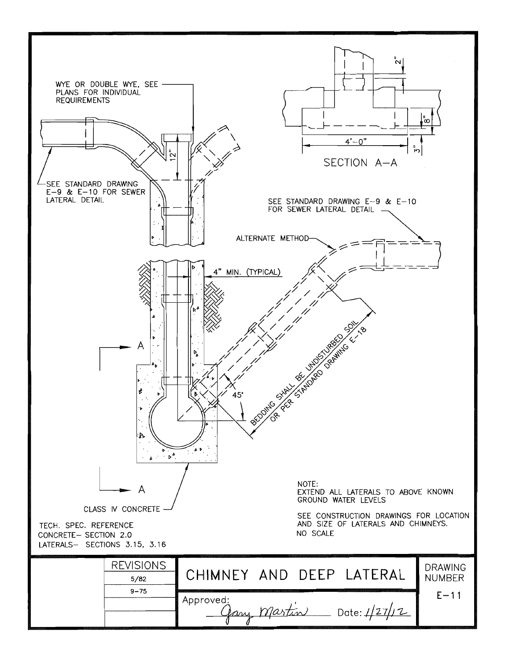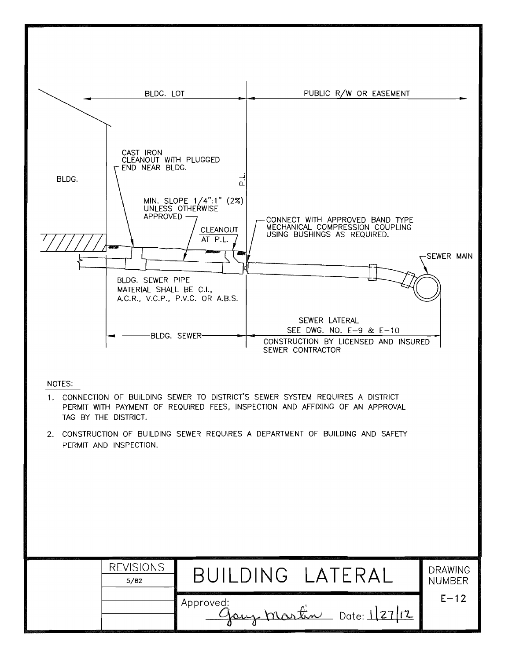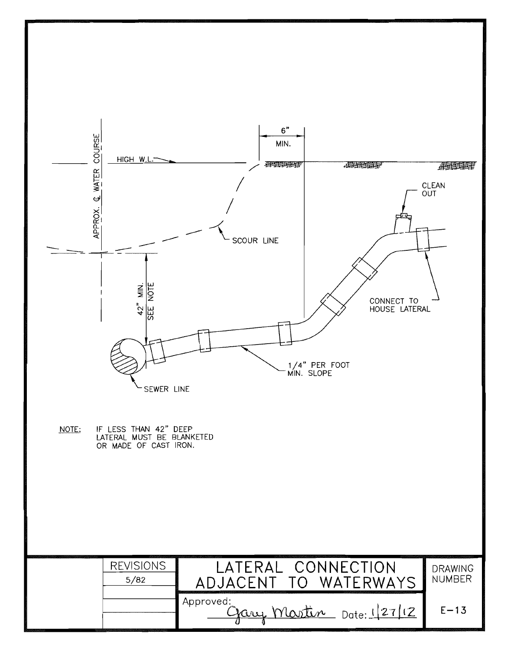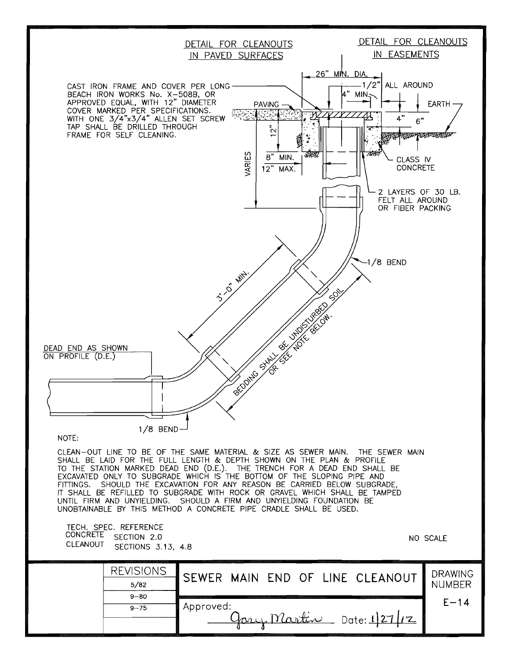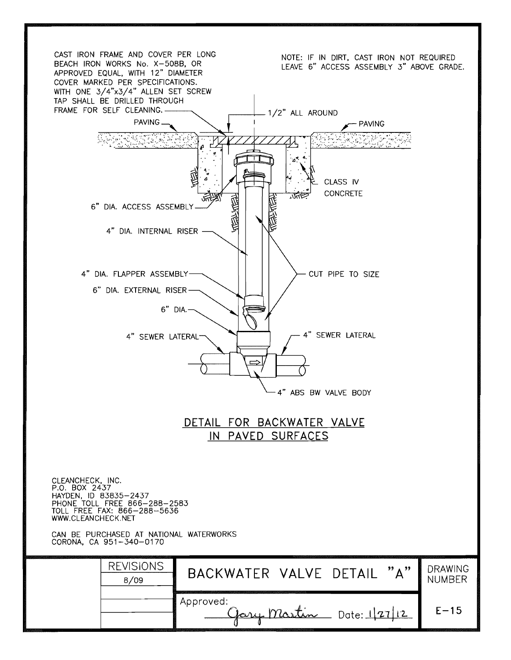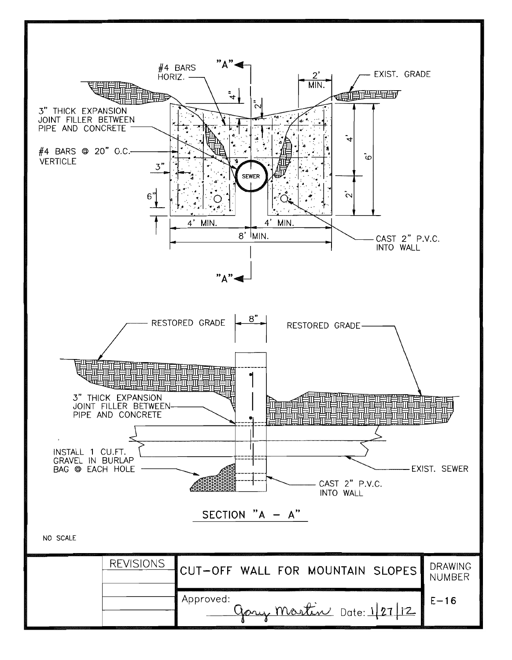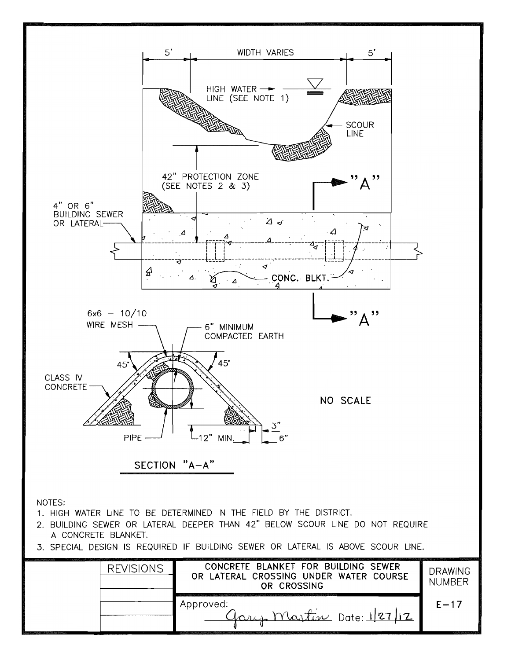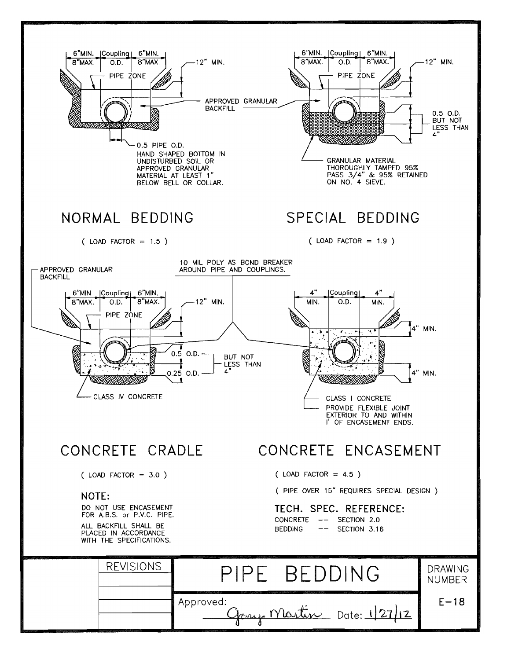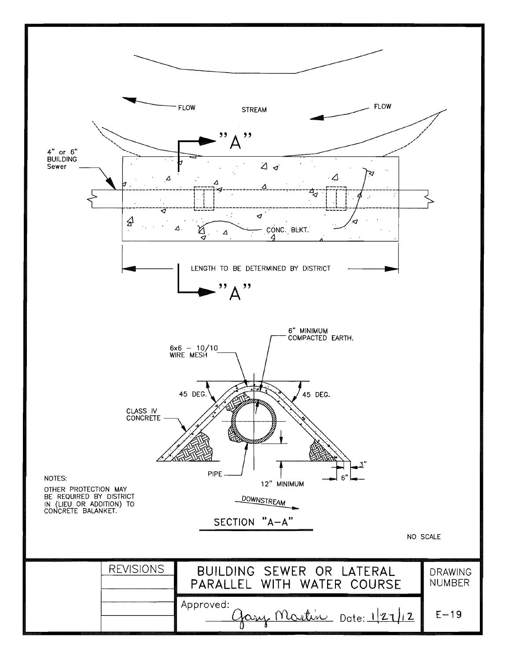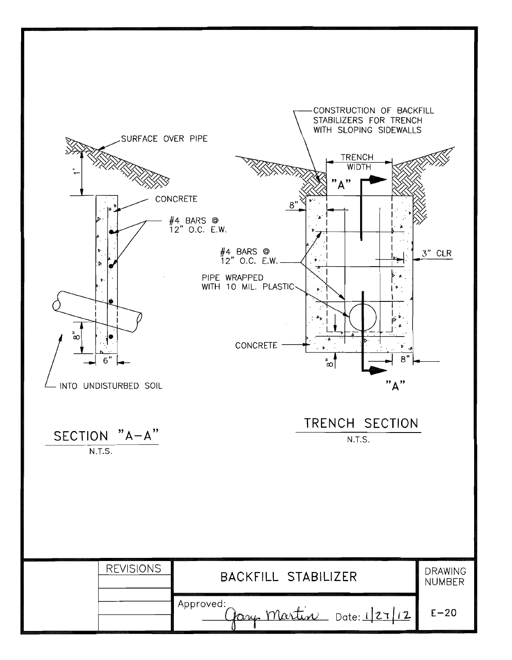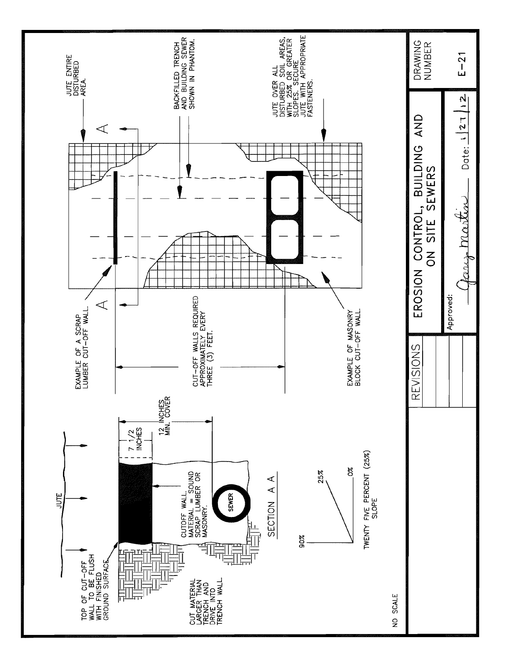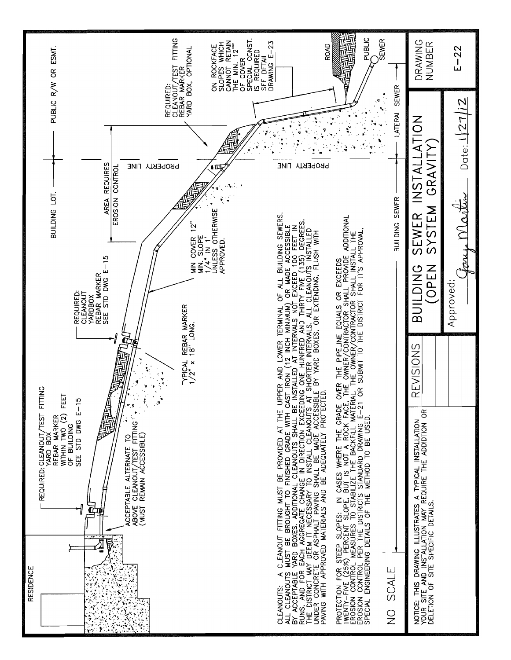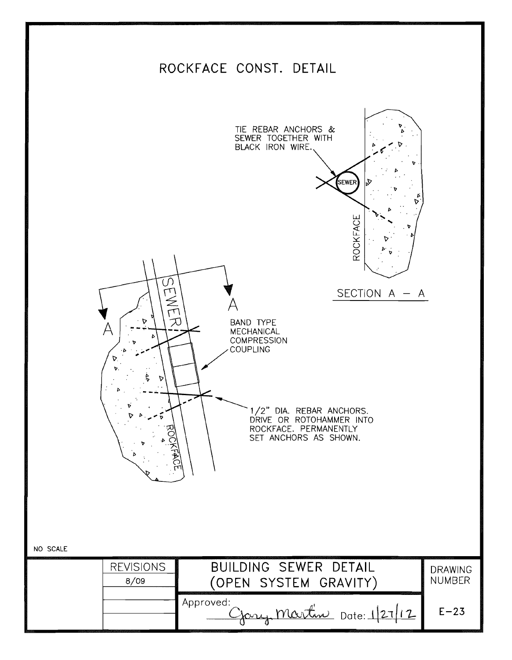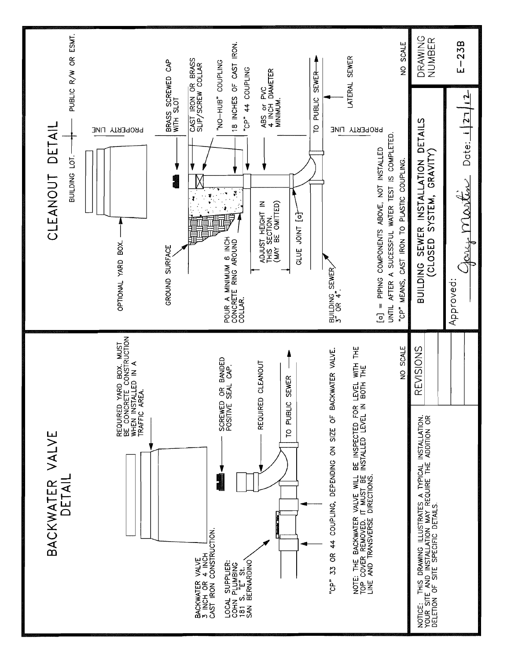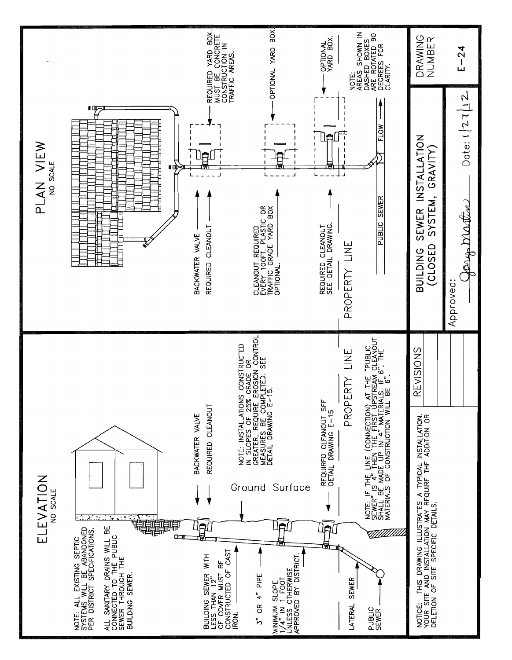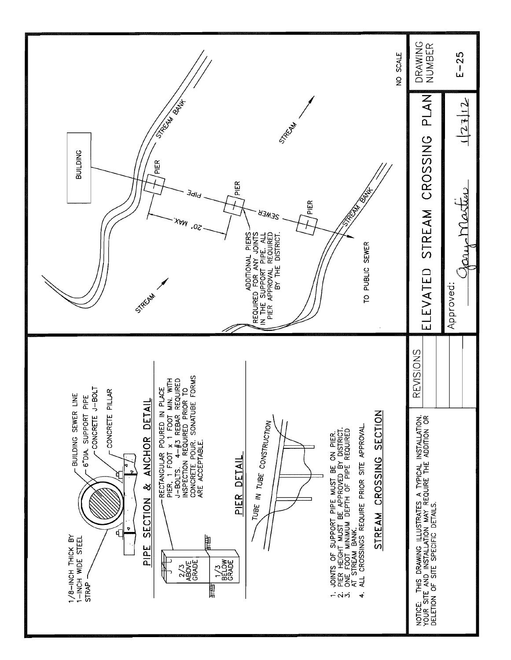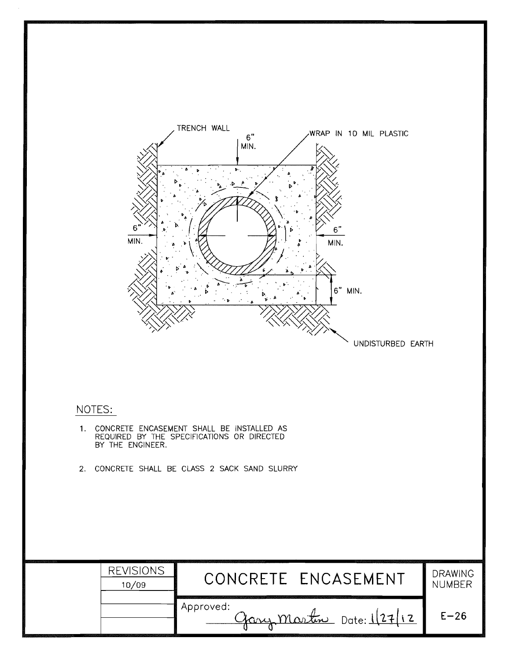

### NOTES:

- 1. CONCRETE ENCASEMENT SHALL BE INSTALLED AS<br>REQUIRED BY THE SPECIFICATIONS OR DIRECTED<br>BY THE ENGINEER.
- 2. CONCRETE SHALL BE CLASS 2 SACK SAND SLURRY

| <b>REVISIONS</b><br>10/09 | CONCRETE ENCASEMENT                            | <b>DRAWING</b><br><b>NUMBER</b> |
|---------------------------|------------------------------------------------|---------------------------------|
|                           | Approved: \<br><u>Gary Martin Date: 127/12</u> | $E - 26$                        |